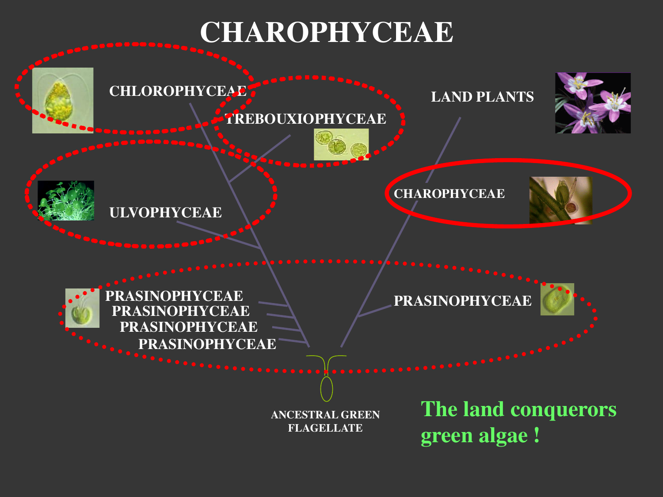# **CHAROPHYCEAE**

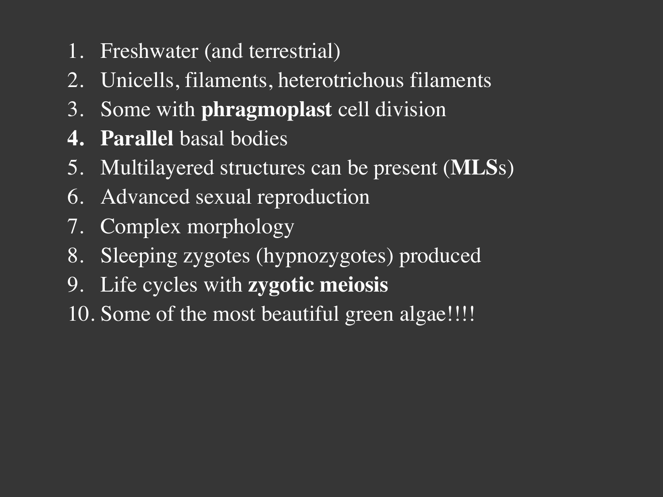- 1. Freshwater (and terrestrial)
- 2. Unicells, filaments, heterotrichous filaments
- 3. Some with **phragmoplast** cell division
- **4. Parallel** basal bodies
- 5. Multilayered structures can be present (**MLS**s)
- 6. Advanced sexual reproduction
- 7. Complex morphology
- 8. Sleeping zygotes (hypnozygotes) produced
- 9. Life cycles with **zygotic meiosis**
- 10. Some of the most beautiful green algae!!!!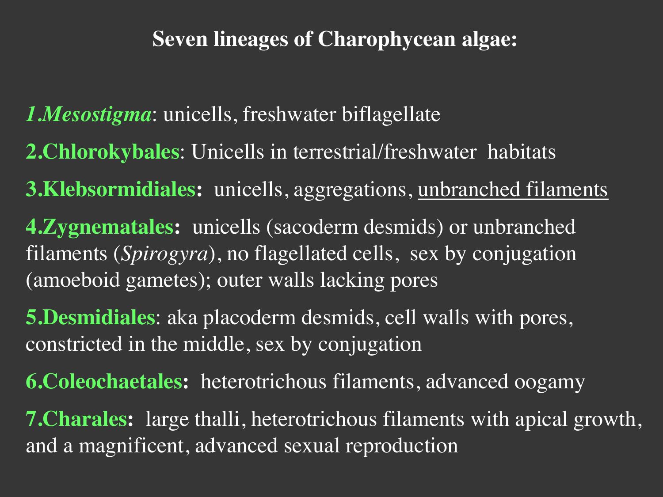#### **Seven lineages of Charophycean algae:**

*1.Mesostigma*: unicells, freshwater biflagellate

- **2.Chlorokybales**: Unicells in terrestrial/freshwater habitats
- **3.Klebsormidiales:** unicells, aggregations, unbranched filaments
- **4.Zygnematales:** unicells (sacoderm desmids) or unbranched filaments (*Spirogyra*), no flagellated cells, sex by conjugation (amoeboid gametes); outer walls lacking pores
- **5.Desmidiales**: aka placoderm desmids, cell walls with pores, constricted in the middle, sex by conjugation
- **6.Coleochaetales:** heterotrichous filaments, advanced oogamy
- **7.Charales:** large thalli, heterotrichous filaments with apical growth, and a magnificent, advanced sexual reproduction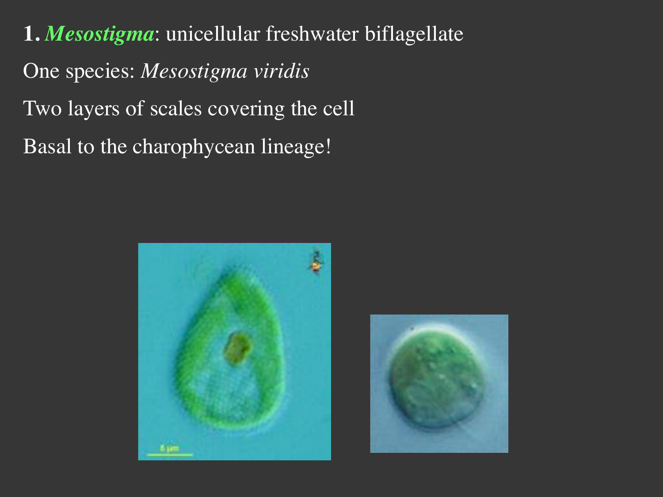**1.** *Mesostigma*: unicellular freshwater biflagellate One species: *Mesostigma viridis* Two layers of scales covering the cell Basal to the charophycean lineage!



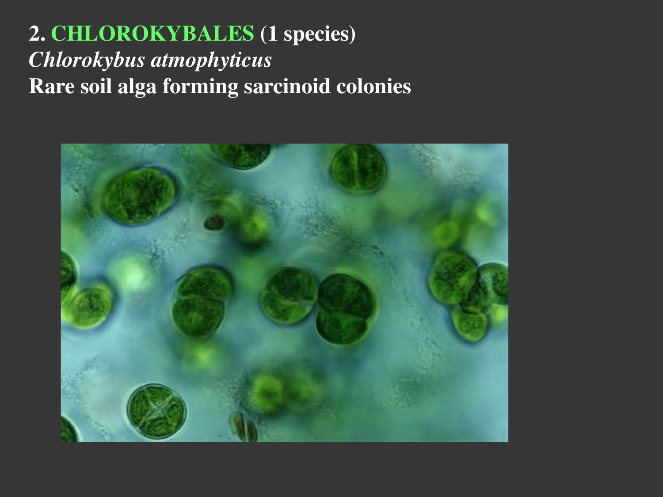# **2. CHLOROKYBALES (1 species)** *Chlorokybus atmophyticus* **Rare soil alga forming sarcinoid colonies**

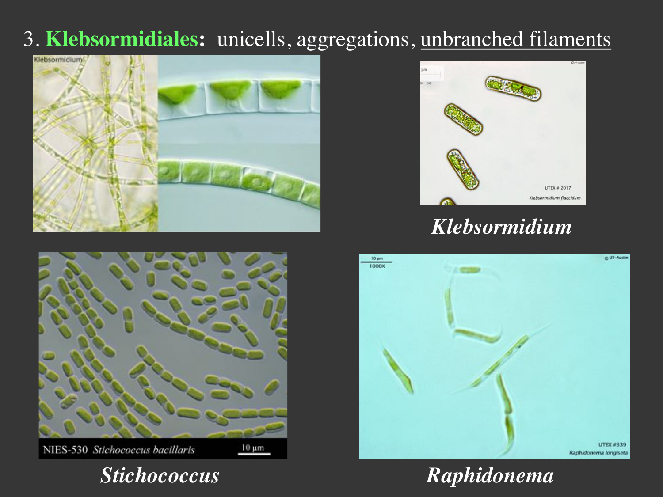## 3. **Klebsormidiales:** unicells, aggregations, unbranched filaments





NIES-530 Stichococcus bacillaris

 $10 \mu m$ 





*Klebsormidium*



*Stichococcus Raphidonema*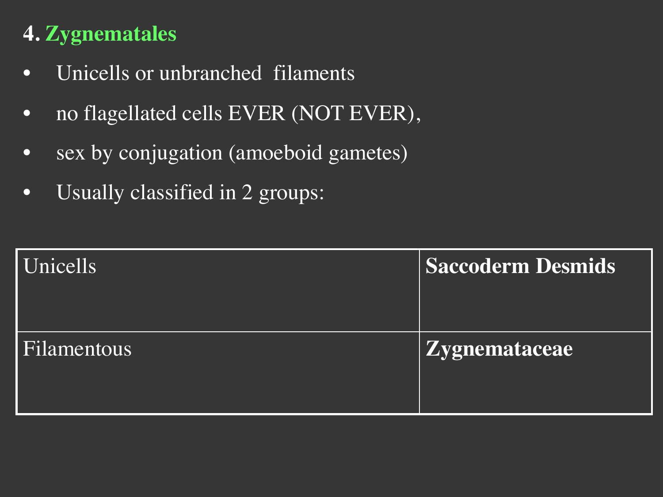# **4. Zygnematales**

- Unicells or unbranched filaments
- no flagellated cells EVER (NOT EVER),
- sex by conjugation (amoeboid gametes)
- Usually classified in 2 groups:

| Unicells    | <b>Saccoderm Desmids</b> |
|-------------|--------------------------|
| Filamentous | Zygnemataceae            |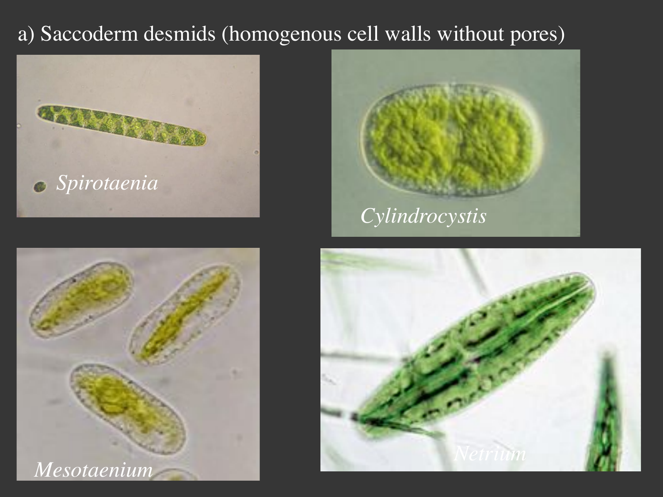## a) Saccoderm desmids (homogenous cell walls without pores)







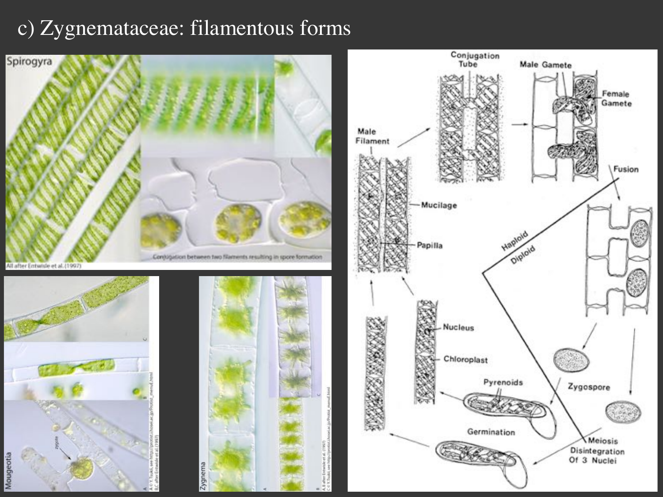## c) Zygnemataceae: filamentous forms



Female Gamete

Fusion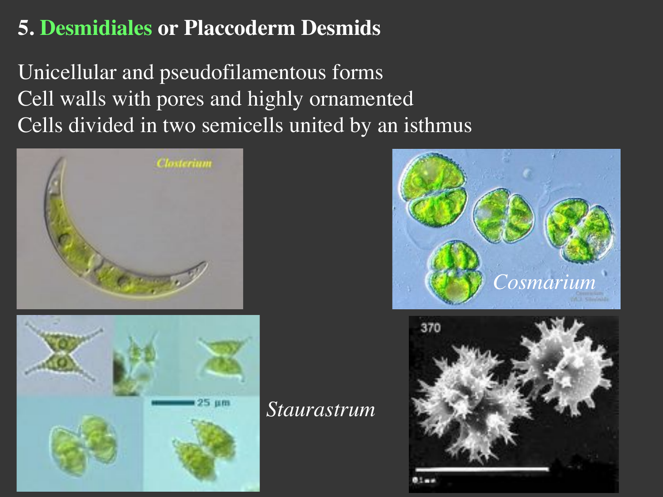# **5. Desmidiales or Placcoderm Desmids**

Unicellular and pseudofilamentous forms Cell walls with pores and highly ornamented Cells divided in two semicells united by an isthmus





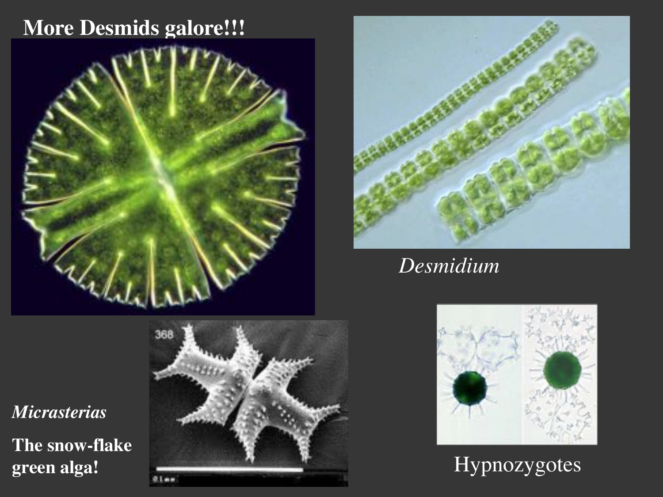#### **More Desmids galore!!!**





#### *Desmidium*



# Hypnozygotes

*Micrasterias*

**The snow-flake green alga!**

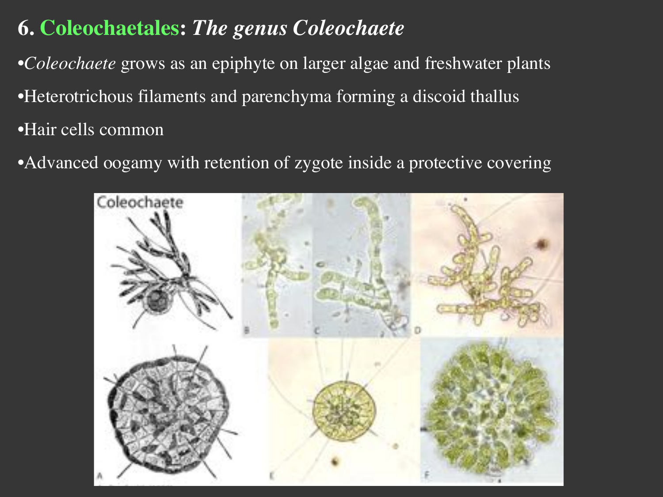# **6. Coleochaetales:** *The genus Coleochaete*

•*Coleochaete* grows as an epiphyte on larger algae and freshwater plants •Heterotrichous filaments and parenchyma forming a discoid thallus •Hair cells common

•Advanced oogamy with retention of zygote inside a protective covering

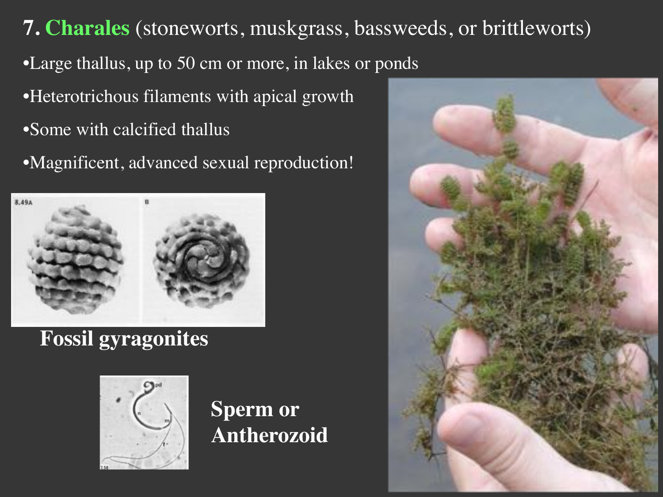**7. Charales** (stoneworts, muskgrass, bassweeds, or brittleworts) •Large thallus, up to 50 cm or more, in lakes or ponds •Heterotrichous filaments with apical growth •Some with calcified thallus •Magnificent, advanced sexual reproduction!



# **Fossil gyragonites**



## **Sperm or Antherozoid**

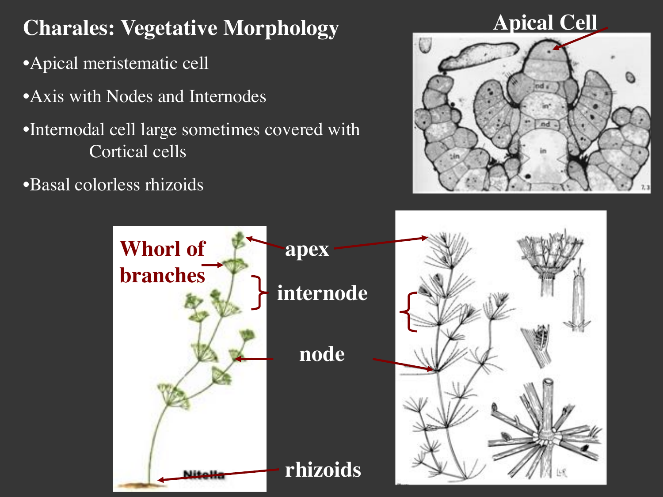**Charales: Vegetative Morphology** •Apical meristematic cell •Axis with Nodes and Internodes •Internodal cell large sometimes covered with Cortical cells

•Basal colorless rhizoids

# **Apical Cell**



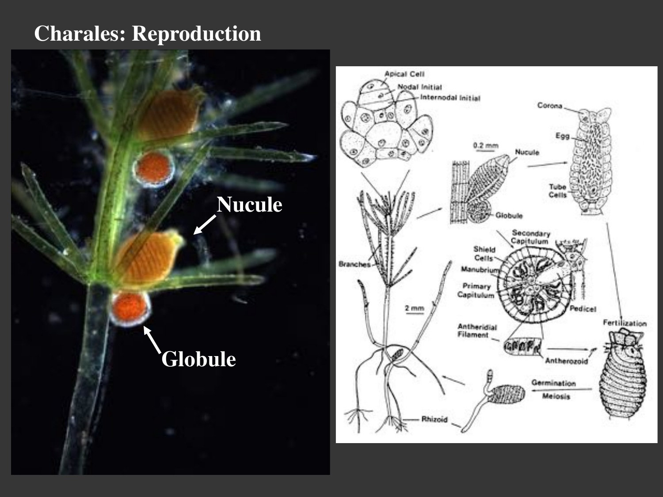#### **Charales: Reproduction**

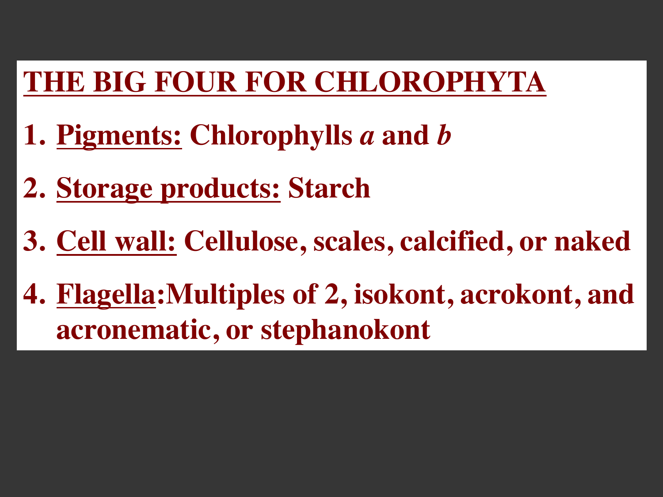# **THE BIG FOUR FOR CHLOROPHYTA**

- **1. Pigments: Chlorophylls** *a* **and** *b*
- **2. Storage products: Starch**
- **3. Cell wall: Cellulose, scales, calcified, or naked**
- **4. Flagella:Multiples of 2, isokont, acrokont, and acronematic, or stephanokont**